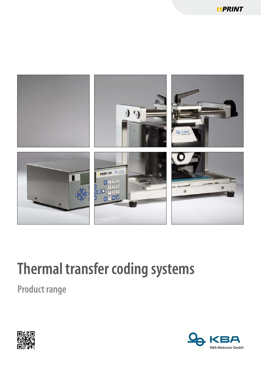

## **Thermal transfer coding systems**

**Product range** 



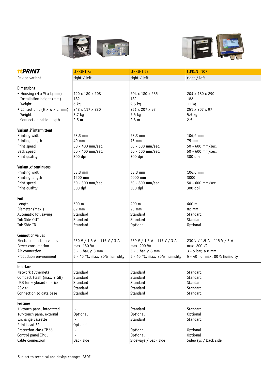



| terint                                     | ttPRINT XS                           | ttPRINT 53                           | ttPRINT 107                  |
|--------------------------------------------|--------------------------------------|--------------------------------------|------------------------------|
| Device variant                             | right / left                         | $right /$ left                       | $ $ right / left             |
|                                            |                                      |                                      |                              |
| <b>Dimensions</b>                          |                                      |                                      |                              |
| $\bullet$ Housing (H x W x L; mm)          | 190 x 180 x 208                      | 204 x 180 x 235                      | 204 x 180 x 290              |
| Installation height (mm)                   | 182                                  | 182                                  | 182                          |
| Weight                                     | 6 kg                                 | $9,5$ kg                             | 11 kg                        |
| • Control unit $(H \times W \times L; mm)$ | 242 x 117 x 220                      | 251 x 207 x 97                       | 251 x 207 x 97               |
| Weight                                     | $3.7$ kg                             | $5.5$ kg                             | $5.5$ kg                     |
| Connection cable length                    | $ 2.5 \text{ m} $                    | 2.5 m                                | 2.5 <sub>m</sub>             |
| Variant, i" intermittent                   |                                      |                                      |                              |
| Printing width                             | $ 53,3 \text{ mm} $                  | $53,3$ mm                            | 106,6 mm                     |
| Printing length                            | $40 \text{ mm}$                      | $75$ mm                              | 75 mm                        |
| Print speed                                | 50 - 400 mm/sec.                     | 50 - 600 mm/sec.                     | 50 - 600 mm/sec.             |
| Back speed                                 | 50 - 400 mm/sec.                     | 50 - 600 mm/sec.                     | 50 - 600 mm/sec.             |
| Print quality                              | 300 dpi                              | 300 dpi                              | 300 dpi                      |
|                                            |                                      |                                      |                              |
| Variant <sub>"</sub> c" continuous         |                                      |                                      |                              |
| Printing width                             | $ 53,3 \text{ mm} $                  | $53,3$ mm                            | 106,6 mm                     |
| Printing length                            | 1500 mm                              | 6000 mm                              | 3000 mm                      |
| Print speed                                | 50 - 300 mm/sec.                     | 50 - 800 mm/sec.                     | 50 - 600 mm/sec.             |
| Print quality                              | 300 dpi                              | 300 dpi                              | 300 dpi                      |
|                                            |                                      |                                      |                              |
| Foil<br>Length                             | $ 600 \text{ m}$                     | 900 m                                | 600 m                        |
| Diameter (max.)                            | $82 \text{ mm}$                      | $95 \text{ mm}$                      | 82 mm                        |
| Automatic foil saving                      | Standard                             | Standard                             | Standard                     |
| Ink Side OUT                               | Standard                             | Standard                             | Standard                     |
| Ink Side IN                                | Standard                             | Optional                             | Optional                     |
|                                            |                                      |                                      |                              |
| <b>Connection values</b>                   |                                      |                                      |                              |
| Electr. connection values                  | $ 230 V / 1.5 A - 115 V / 3 A$       | $ 230 V / 1.5 A - 115 V / 3 A $      | 230 V / 1.5 A - 115 V / 3 A  |
| Power consumption                          | max. 150 VA                          | max. 200 VA                          | max. 200 VA                  |
| Air connection                             | $3 - 5$ bar, ø 8 mm                  | $3 - 5$ bar, ø 8 mm                  | 3 - 5 bar, ø 8 mm            |
| Production environment                     | $\vert$ 5 - 40 °C, max. 80% humidity | $\vert$ 5 - 40 °C, max. 80% humidity | 5 - 40 °C, max. 80% humidity |
|                                            |                                      |                                      |                              |
| Interface                                  |                                      |                                      |                              |
| Network (Ethernet)                         | Standard                             | Standard                             | Standard                     |
| Compact Flash (max. 2 GB)                  | Standard                             | Standard                             | Standard                     |
| USB for keyboard or stick                  | Standard                             | Standard                             | Standard                     |
| RS 232                                     | Standard                             | Standard                             | Standard                     |
| Connection to data base                    | Standard                             | Standard                             | Standard                     |
| <b>Features</b>                            |                                      |                                      |                              |
| 7"-touch panel integrated                  |                                      | Standard                             | Standard                     |
| 10"-touch panel external                   | Optional                             | Optional                             | Optional                     |
| Exchange cassette                          |                                      | Standard                             | Standard                     |
| Print head 32 mm                           | Optional                             |                                      |                              |
| Protection class IP 65                     |                                      | Optional                             | <b>Optional</b>              |
| Control panel IP 65                        |                                      | Optional                             | Optional                     |
| Cable connection                           | Back side                            | Sideways / back side                 | Sideways / back side         |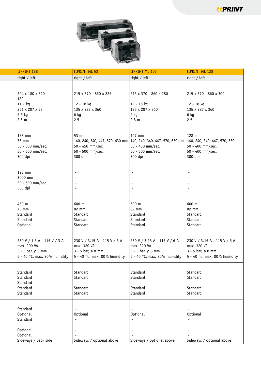ttPRINT



| ttPRINT 128                  | ttPRINT ML 53                | ttPRINT ML 107                                                                                  | ttPRINT ML 128                       |
|------------------------------|------------------------------|-------------------------------------------------------------------------------------------------|--------------------------------------|
| right / left                 | right / left                 | $right /$ left                                                                                  | $right /$ left                       |
|                              |                              |                                                                                                 |                                      |
|                              |                              |                                                                                                 |                                      |
| 204 x 180 x 310              | 215 x 370 - 860 x 225        | 215 x 370 - 860 x 280                                                                           | 215 x 370 - 860 x 300                |
| 182                          |                              |                                                                                                 |                                      |
| 11,7 kg                      | 12 - 18 kg                   | 12 - 18 kg                                                                                      | 12 - 18 kg                           |
| 251 x 207 x 97               | 135 x 287 x 360              | 135 x 287 x 360                                                                                 | 135 x 287 x 360                      |
| 5.5 kg                       | 6 kg                         | 6 kg                                                                                            | 6 kg                                 |
| 2.5 <sub>m</sub>             | 2.5 m                        | 2.5 m                                                                                           | 2.5 m                                |
|                              |                              |                                                                                                 |                                      |
| 128 mm                       | 53 mm                        | 107 mm                                                                                          | 128 mm                               |
| 75 mm                        |                              | 140, 240, 340, 447, 570, 630 mm 140, 240, 340, 447, 570, 630 mm 140, 240, 340, 447, 570, 630 mm |                                      |
| 50 - 600 mm/sec.             | 50 - 450 mm/sec.             | 50 - 450 mm/sec.                                                                                | 50 - 400 mm/sec.                     |
| 50 - 600 mm/sec.             | 50 - 500 mm/sec.             | 50 - 500 mm/sec.                                                                                | 50 - 400 mm/sec.                     |
| 300 dpi                      | 300 dpi                      | 300 dpi                                                                                         | 300 dpi                              |
|                              |                              |                                                                                                 |                                      |
|                              |                              |                                                                                                 |                                      |
| 128 mm                       |                              |                                                                                                 |                                      |
| 3000 mm                      |                              |                                                                                                 |                                      |
| 50 - 600 mm/sec.             |                              |                                                                                                 | $\overline{\phantom{0}}$             |
| 300 dpi                      |                              |                                                                                                 | $\overline{\phantom{0}}$             |
|                              |                              |                                                                                                 |                                      |
|                              |                              |                                                                                                 |                                      |
| 450 m                        | 600 m                        | 600 m                                                                                           | 600 m                                |
| 75 mm                        | 82 mm                        | 82 mm                                                                                           | 82 mm                                |
| Standard                     | Standard                     | Standard                                                                                        | Standard                             |
| Standard                     | Standard                     | Standard                                                                                        | Standard                             |
| Optional                     | Standard                     | Standard                                                                                        | Standard                             |
|                              |                              |                                                                                                 |                                      |
| 230 V / 1.5 A - 115 V / 3 A  | 230 V / 3.15 A - 115 V / 6 A | 230 V / 3.15 A - 115 V / 6 A                                                                    | 230 V / 3.15 A - 115 V / 6 A         |
| max. 200 VA                  | max. 320 VA                  | max. 320 VA                                                                                     | max. 320 VA                          |
| $3 - 5$ bar, ø 8 mm          | $3 - 5$ bar, ø 8 mm          | $3 - 5$ bar, ø 8 mm                                                                             | $3 - 5$ bar, ø 8 mm                  |
| 5 - 40 °C, max. 80% humidity | 5 - 40 °C, max. 80% humidity | $5 - 40$ °C, max. 80% humidity                                                                  | $\vert$ 5 - 40 °C, max. 80% humidity |
|                              |                              |                                                                                                 |                                      |
| Standard                     | Standard                     | Standard                                                                                        | Standard                             |
| Standard                     | Standard                     | Standard                                                                                        | Standard                             |
| Standard                     | $\sim$                       |                                                                                                 | $\overline{\phantom{a}}$             |
| Standard                     | Standard                     | Standard                                                                                        | Standard                             |
| Standard                     | Standard                     | Standard                                                                                        | Standard                             |
|                              |                              |                                                                                                 |                                      |
|                              |                              |                                                                                                 |                                      |
| Standard                     |                              |                                                                                                 | $\sim$                               |
| Optional                     | Optional                     | Optional                                                                                        | <b>Optional</b>                      |
| Standard                     |                              |                                                                                                 | $\overline{\phantom{a}}$             |
| $\sim$                       |                              | $\overline{\phantom{a}}$                                                                        | $\sim$                               |
| Optional                     |                              | $\overline{\phantom{a}}$                                                                        | $\sim$                               |
| Optional                     |                              |                                                                                                 | $\sim$                               |
| Sideways / back side         | Sideways / optional above    | Sideways / optional above                                                                       | Sideways / optional above            |